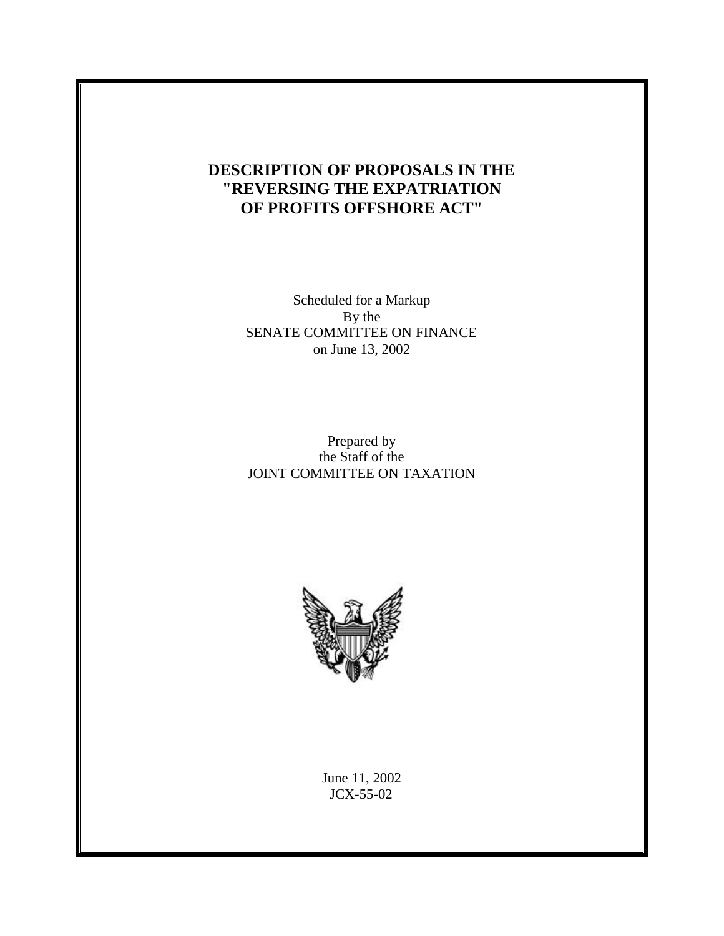# **DESCRIPTION OF PROPOSALS IN THE "REVERSING THE EXPATRIATION OF PROFITS OFFSHORE ACT"**

Scheduled for a Markup By the SENATE COMMITTEE ON FINANCE on June 13, 2002

# Prepared by the Staff of the JOINT COMMITTEE ON TAXATION



June 11, 2002 JCX-55-02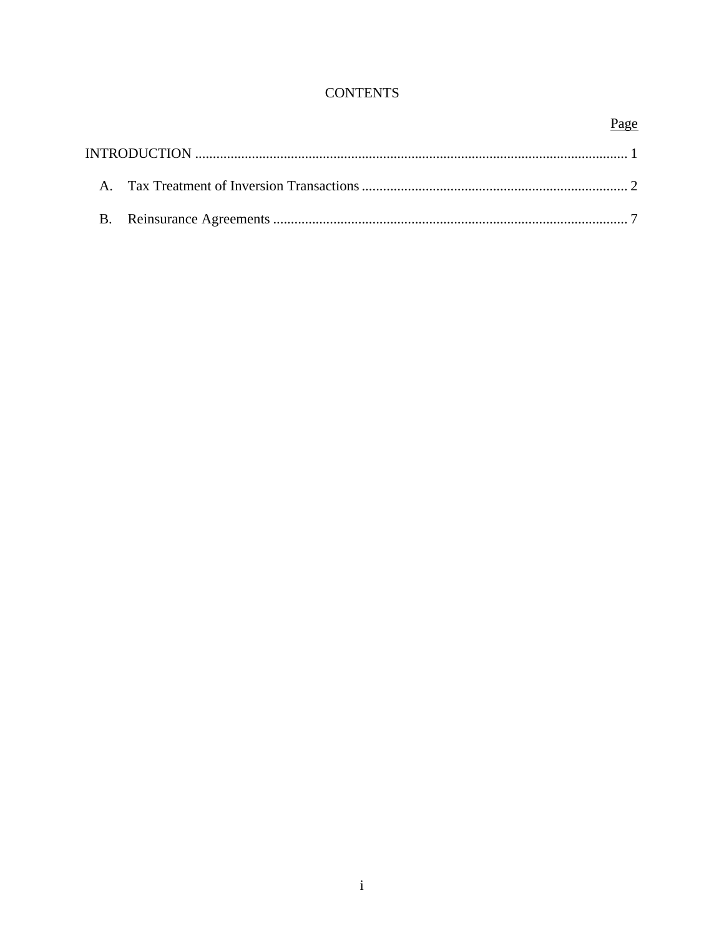# **CONTENTS**

# Page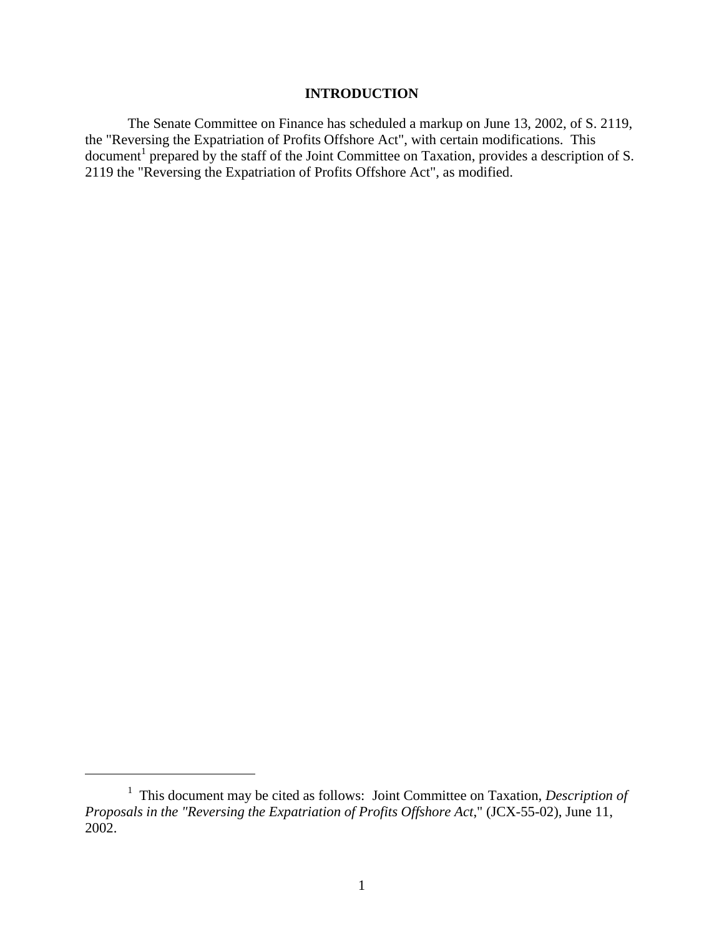# **INTRODUCTION**

The Senate Committee on Finance has scheduled a markup on June 13, 2002, of S. 2119, the "Reversing the Expatriation of Profits Offshore Act", with certain modifications. This document<sup>1</sup> prepared by the staff of the Joint Committee on Taxation, provides a description of S. 2119 the "Reversing the Expatriation of Profits Offshore Act", as modified.

 $\overline{a}$ 

<sup>&</sup>lt;sup>1</sup> This document may be cited as follows: Joint Committee on Taxation, *Description of Proposals in the "Reversing the Expatriation of Profits Offshore Act*," (JCX-55-02), June 11, 2002.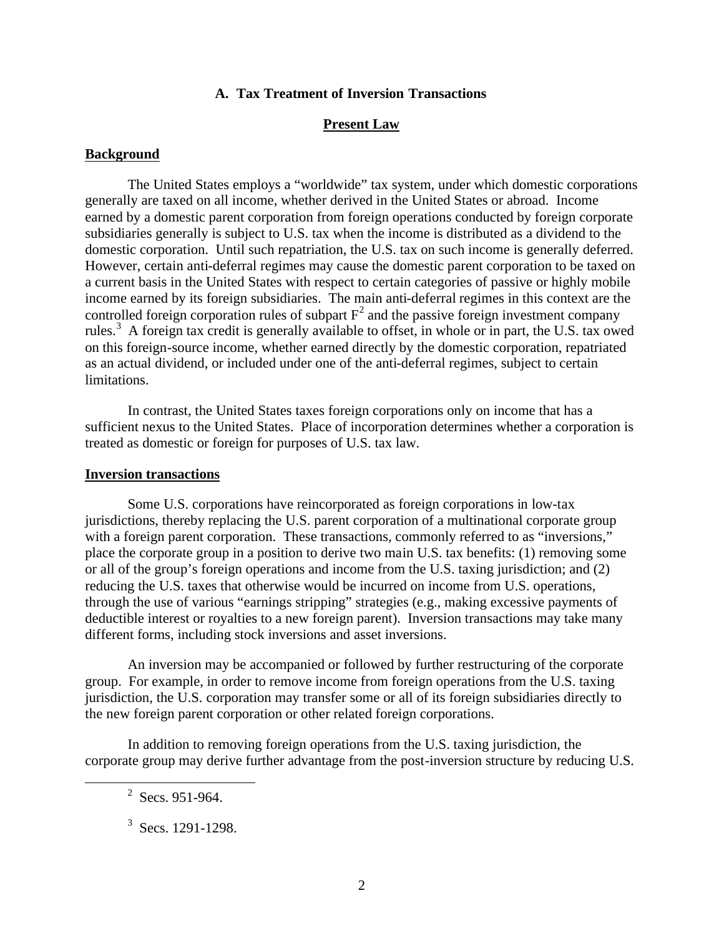## **A. Tax Treatment of Inversion Transactions**

# **Present Law**

### **Background**

The United States employs a "worldwide" tax system, under which domestic corporations generally are taxed on all income, whether derived in the United States or abroad. Income earned by a domestic parent corporation from foreign operations conducted by foreign corporate subsidiaries generally is subject to U.S. tax when the income is distributed as a dividend to the domestic corporation. Until such repatriation, the U.S. tax on such income is generally deferred. However, certain anti-deferral regimes may cause the domestic parent corporation to be taxed on a current basis in the United States with respect to certain categories of passive or highly mobile income earned by its foreign subsidiaries. The main anti-deferral regimes in this context are the controlled foreign corporation rules of subpart  $F^2$  and the passive foreign investment company rules.<sup>3</sup> A foreign tax credit is generally available to offset, in whole or in part, the U.S. tax owed on this foreign-source income, whether earned directly by the domestic corporation, repatriated as an actual dividend, or included under one of the anti-deferral regimes, subject to certain limitations.

In contrast, the United States taxes foreign corporations only on income that has a sufficient nexus to the United States. Place of incorporation determines whether a corporation is treated as domestic or foreign for purposes of U.S. tax law.

## **Inversion transactions**

Some U.S. corporations have reincorporated as foreign corporations in low-tax jurisdictions, thereby replacing the U.S. parent corporation of a multinational corporate group with a foreign parent corporation. These transactions, commonly referred to as "inversions," place the corporate group in a position to derive two main U.S. tax benefits: (1) removing some or all of the group's foreign operations and income from the U.S. taxing jurisdiction; and (2) reducing the U.S. taxes that otherwise would be incurred on income from U.S. operations, through the use of various "earnings stripping" strategies (e.g., making excessive payments of deductible interest or royalties to a new foreign parent). Inversion transactions may take many different forms, including stock inversions and asset inversions.

An inversion may be accompanied or followed by further restructuring of the corporate group. For example, in order to remove income from foreign operations from the U.S. taxing jurisdiction, the U.S. corporation may transfer some or all of its foreign subsidiaries directly to the new foreign parent corporation or other related foreign corporations.

In addition to removing foreign operations from the U.S. taxing jurisdiction, the corporate group may derive further advantage from the post-inversion structure by reducing U.S.

 $\overline{a}$ 

 $2$  Secs. 951-964.

 $3$  Secs. 1291-1298.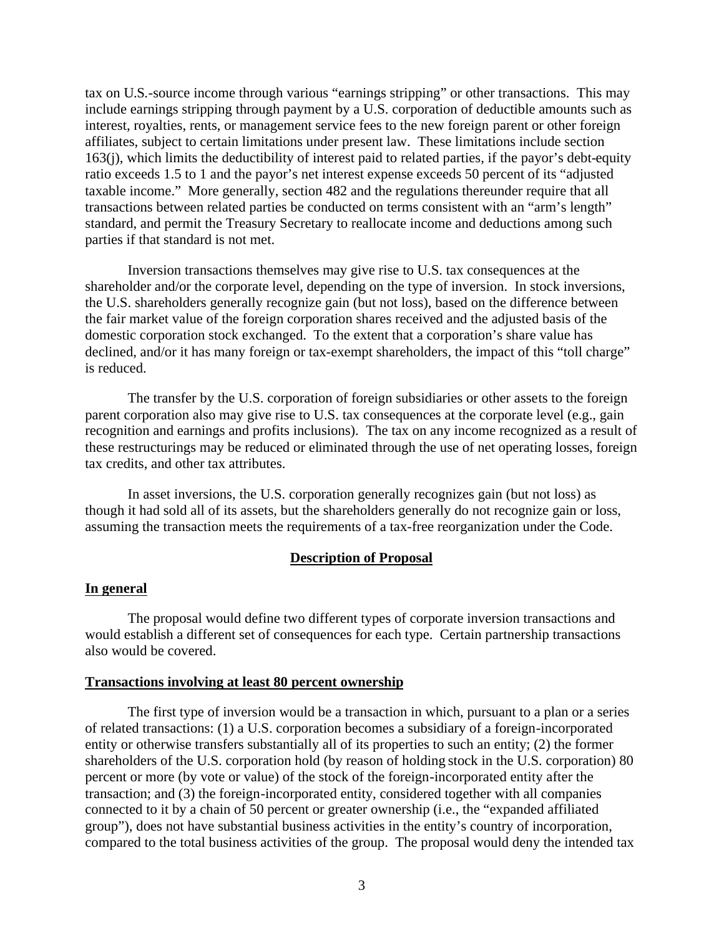tax on U.S.-source income through various "earnings stripping" or other transactions. This may include earnings stripping through payment by a U.S. corporation of deductible amounts such as interest, royalties, rents, or management service fees to the new foreign parent or other foreign affiliates, subject to certain limitations under present law. These limitations include section 163(j), which limits the deductibility of interest paid to related parties, if the payor's debt-equity ratio exceeds 1.5 to 1 and the payor's net interest expense exceeds 50 percent of its "adjusted taxable income." More generally, section 482 and the regulations thereunder require that all transactions between related parties be conducted on terms consistent with an "arm's length" standard, and permit the Treasury Secretary to reallocate income and deductions among such parties if that standard is not met.

Inversion transactions themselves may give rise to U.S. tax consequences at the shareholder and/or the corporate level, depending on the type of inversion. In stock inversions, the U.S. shareholders generally recognize gain (but not loss), based on the difference between the fair market value of the foreign corporation shares received and the adjusted basis of the domestic corporation stock exchanged. To the extent that a corporation's share value has declined, and/or it has many foreign or tax-exempt shareholders, the impact of this "toll charge" is reduced.

The transfer by the U.S. corporation of foreign subsidiaries or other assets to the foreign parent corporation also may give rise to U.S. tax consequences at the corporate level (e.g., gain recognition and earnings and profits inclusions). The tax on any income recognized as a result of these restructurings may be reduced or eliminated through the use of net operating losses, foreign tax credits, and other tax attributes.

In asset inversions, the U.S. corporation generally recognizes gain (but not loss) as though it had sold all of its assets, but the shareholders generally do not recognize gain or loss, assuming the transaction meets the requirements of a tax-free reorganization under the Code.

## **Description of Proposal**

#### **In general**

The proposal would define two different types of corporate inversion transactions and would establish a different set of consequences for each type. Certain partnership transactions also would be covered.

# **Transactions involving at least 80 percent ownership**

The first type of inversion would be a transaction in which, pursuant to a plan or a series of related transactions: (1) a U.S. corporation becomes a subsidiary of a foreign-incorporated entity or otherwise transfers substantially all of its properties to such an entity; (2) the former shareholders of the U.S. corporation hold (by reason of holding stock in the U.S. corporation) 80 percent or more (by vote or value) of the stock of the foreign-incorporated entity after the transaction; and (3) the foreign-incorporated entity, considered together with all companies connected to it by a chain of 50 percent or greater ownership (i.e., the "expanded affiliated group"), does not have substantial business activities in the entity's country of incorporation, compared to the total business activities of the group. The proposal would deny the intended tax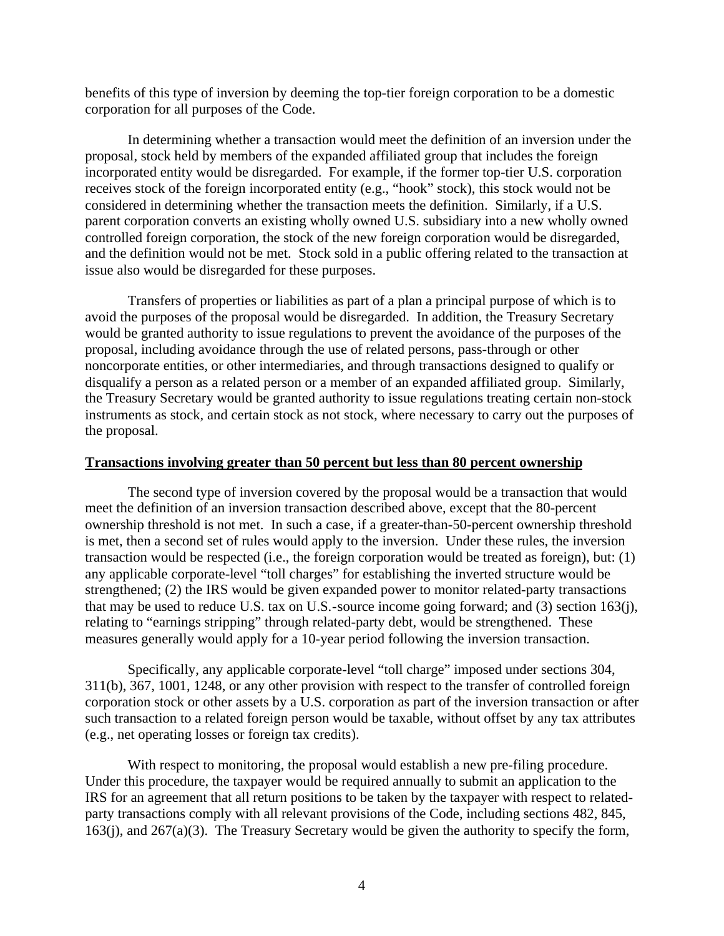benefits of this type of inversion by deeming the top-tier foreign corporation to be a domestic corporation for all purposes of the Code.

In determining whether a transaction would meet the definition of an inversion under the proposal, stock held by members of the expanded affiliated group that includes the foreign incorporated entity would be disregarded. For example, if the former top-tier U.S. corporation receives stock of the foreign incorporated entity (e.g., "hook" stock), this stock would not be considered in determining whether the transaction meets the definition. Similarly, if a U.S. parent corporation converts an existing wholly owned U.S. subsidiary into a new wholly owned controlled foreign corporation, the stock of the new foreign corporation would be disregarded, and the definition would not be met. Stock sold in a public offering related to the transaction at issue also would be disregarded for these purposes.

Transfers of properties or liabilities as part of a plan a principal purpose of which is to avoid the purposes of the proposal would be disregarded. In addition, the Treasury Secretary would be granted authority to issue regulations to prevent the avoidance of the purposes of the proposal, including avoidance through the use of related persons, pass-through or other noncorporate entities, or other intermediaries, and through transactions designed to qualify or disqualify a person as a related person or a member of an expanded affiliated group. Similarly, the Treasury Secretary would be granted authority to issue regulations treating certain non-stock instruments as stock, and certain stock as not stock, where necessary to carry out the purposes of the proposal.

## **Transactions involving greater than 50 percent but less than 80 percent ownership**

The second type of inversion covered by the proposal would be a transaction that would meet the definition of an inversion transaction described above, except that the 80-percent ownership threshold is not met. In such a case, if a greater-than-50-percent ownership threshold is met, then a second set of rules would apply to the inversion. Under these rules, the inversion transaction would be respected (i.e., the foreign corporation would be treated as foreign), but: (1) any applicable corporate-level "toll charges" for establishing the inverted structure would be strengthened; (2) the IRS would be given expanded power to monitor related-party transactions that may be used to reduce U.S. tax on U.S.-source income going forward; and (3) section 163(j), relating to "earnings stripping" through related-party debt, would be strengthened. These measures generally would apply for a 10-year period following the inversion transaction.

Specifically, any applicable corporate-level "toll charge" imposed under sections 304, 311(b), 367, 1001, 1248, or any other provision with respect to the transfer of controlled foreign corporation stock or other assets by a U.S. corporation as part of the inversion transaction or after such transaction to a related foreign person would be taxable, without offset by any tax attributes (e.g., net operating losses or foreign tax credits).

With respect to monitoring, the proposal would establish a new pre-filing procedure. Under this procedure, the taxpayer would be required annually to submit an application to the IRS for an agreement that all return positions to be taken by the taxpayer with respect to relatedparty transactions comply with all relevant provisions of the Code, including sections 482, 845, 163(j), and 267(a)(3). The Treasury Secretary would be given the authority to specify the form,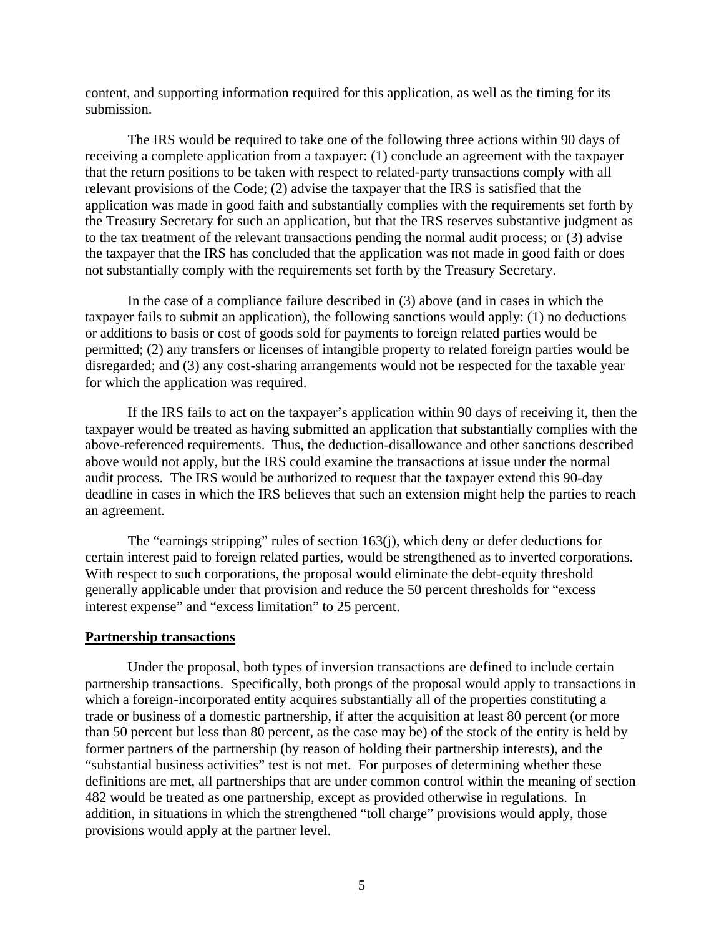content, and supporting information required for this application, as well as the timing for its submission.

The IRS would be required to take one of the following three actions within 90 days of receiving a complete application from a taxpayer: (1) conclude an agreement with the taxpayer that the return positions to be taken with respect to related-party transactions comply with all relevant provisions of the Code; (2) advise the taxpayer that the IRS is satisfied that the application was made in good faith and substantially complies with the requirements set forth by the Treasury Secretary for such an application, but that the IRS reserves substantive judgment as to the tax treatment of the relevant transactions pending the normal audit process; or (3) advise the taxpayer that the IRS has concluded that the application was not made in good faith or does not substantially comply with the requirements set forth by the Treasury Secretary.

In the case of a compliance failure described in (3) above (and in cases in which the taxpayer fails to submit an application), the following sanctions would apply: (1) no deductions or additions to basis or cost of goods sold for payments to foreign related parties would be permitted; (2) any transfers or licenses of intangible property to related foreign parties would be disregarded; and (3) any cost-sharing arrangements would not be respected for the taxable year for which the application was required.

If the IRS fails to act on the taxpayer's application within 90 days of receiving it, then the taxpayer would be treated as having submitted an application that substantially complies with the above-referenced requirements. Thus, the deduction-disallowance and other sanctions described above would not apply, but the IRS could examine the transactions at issue under the normal audit process. The IRS would be authorized to request that the taxpayer extend this 90-day deadline in cases in which the IRS believes that such an extension might help the parties to reach an agreement.

The "earnings stripping" rules of section 163(j), which deny or defer deductions for certain interest paid to foreign related parties, would be strengthened as to inverted corporations. With respect to such corporations, the proposal would eliminate the debt-equity threshold generally applicable under that provision and reduce the 50 percent thresholds for "excess interest expense" and "excess limitation" to 25 percent.

#### **Partnership transactions**

Under the proposal, both types of inversion transactions are defined to include certain partnership transactions. Specifically, both prongs of the proposal would apply to transactions in which a foreign-incorporated entity acquires substantially all of the properties constituting a trade or business of a domestic partnership, if after the acquisition at least 80 percent (or more than 50 percent but less than 80 percent, as the case may be) of the stock of the entity is held by former partners of the partnership (by reason of holding their partnership interests), and the "substantial business activities" test is not met. For purposes of determining whether these definitions are met, all partnerships that are under common control within the meaning of section 482 would be treated as one partnership, except as provided otherwise in regulations. In addition, in situations in which the strengthened "toll charge" provisions would apply, those provisions would apply at the partner level.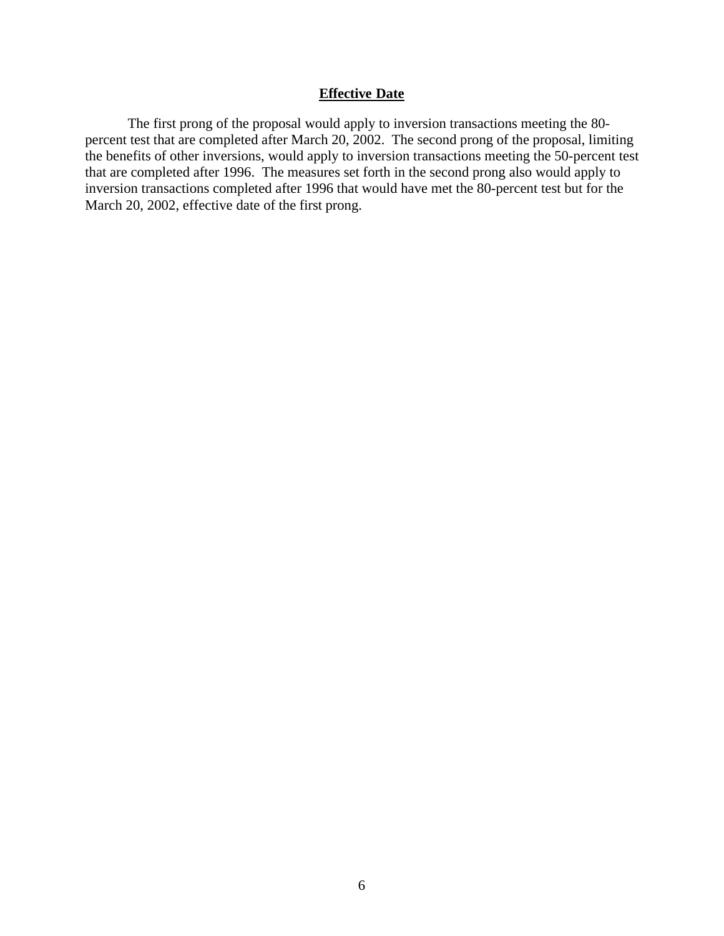# **Effective Date**

The first prong of the proposal would apply to inversion transactions meeting the 80 percent test that are completed after March 20, 2002. The second prong of the proposal, limiting the benefits of other inversions, would apply to inversion transactions meeting the 50-percent test that are completed after 1996. The measures set forth in the second prong also would apply to inversion transactions completed after 1996 that would have met the 80-percent test but for the March 20, 2002, effective date of the first prong.